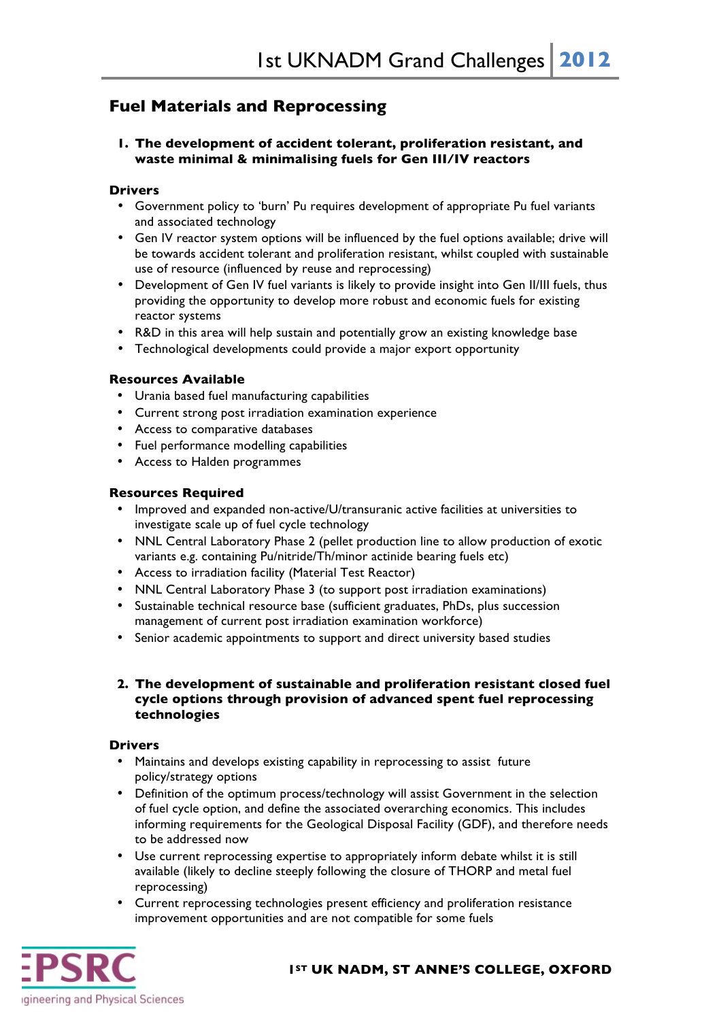# **Fuel Materials and Reprocessing**

## **1. The development of accident tolerant, proliferation resistant, and waste minimal & minimalising fuels for Gen III/IV reactors**

## **Drivers**

- Government policy to 'burn' Pu requires development of appropriate Pu fuel variants and associated technology
- Gen IV reactor system options will be influenced by the fuel options available; drive will be towards accident tolerant and proliferation resistant, whilst coupled with sustainable use of resource (influenced by reuse and reprocessing)
- Development of Gen IV fuel variants is likely to provide insight into Gen II/III fuels, thus providing the opportunity to develop more robust and economic fuels for existing reactor systems
- R&D in this area will help sustain and potentially grow an existing knowledge base
- Technological developments could provide a major export opportunity

## **Resources Available**

- Urania based fuel manufacturing capabilities
- Current strong post irradiation examination experience
- Access to comparative databases
- Fuel performance modelling capabilities
- Access to Halden programmes

## **Resources Required**

- Improved and expanded non-active/U/transuranic active facilities at universities to investigate scale up of fuel cycle technology
- NNL Central Laboratory Phase 2 (pellet production line to allow production of exotic variants e.g. containing Pu/nitride/Th/minor actinide bearing fuels etc)
- Access to irradiation facility (Material Test Reactor)
- NNL Central Laboratory Phase 3 (to support post irradiation examinations)
- Sustainable technical resource base (sufficient graduates, PhDs, plus succession management of current post irradiation examination workforce)
- Senior academic appointments to support and direct university based studies

## **2. The development of sustainable and proliferation resistant closed fuel cycle options through provision of advanced spent fuel reprocessing technologies**

#### **Drivers**

- Maintains and develops existing capability in reprocessing to assist future policy/strategy options
- Definition of the optimum process/technology will assist Government in the selection of fuel cycle option, and define the associated overarching economics. This includes informing requirements for the Geological Disposal Facility (GDF), and therefore needs to be addressed now
- Use current reprocessing expertise to appropriately inform debate whilst it is still available (likely to decline steeply following the closure of THORP and metal fuel reprocessing)
- Current reprocessing technologies present efficiency and proliferation resistance improvement opportunities and are not compatible for some fuels

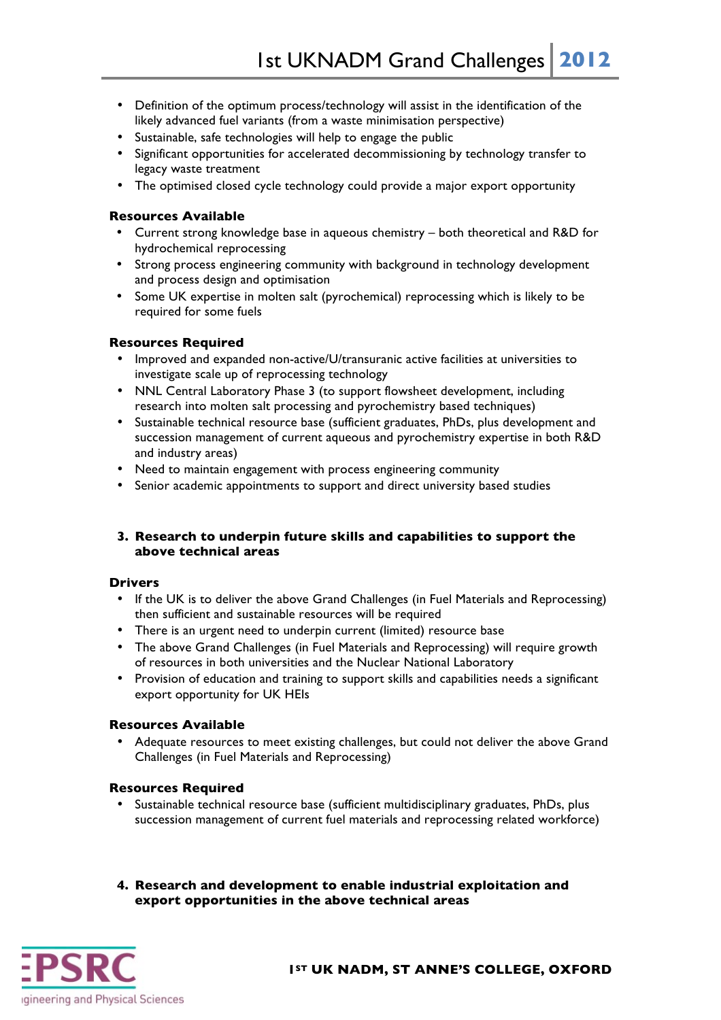- Definition of the optimum process/technology will assist in the identification of the likely advanced fuel variants (from a waste minimisation perspective)
- Sustainable, safe technologies will help to engage the public
- Significant opportunities for accelerated decommissioning by technology transfer to legacy waste treatment
- The optimised closed cycle technology could provide a major export opportunity

## **Resources Available**

- Current strong knowledge base in aqueous chemistry both theoretical and R&D for hydrochemical reprocessing
- Strong process engineering community with background in technology development and process design and optimisation
- Some UK expertise in molten salt (pyrochemical) reprocessing which is likely to be required for some fuels

## **Resources Required**

- Improved and expanded non-active/U/transuranic active facilities at universities to investigate scale up of reprocessing technology
- NNL Central Laboratory Phase 3 (to support flowsheet development, including research into molten salt processing and pyrochemistry based techniques)
- Sustainable technical resource base (sufficient graduates, PhDs, plus development and succession management of current aqueous and pyrochemistry expertise in both R&D and industry areas)
- Need to maintain engagement with process engineering community
- Senior academic appointments to support and direct university based studies

## **3. Research to underpin future skills and capabilities to support the above technical areas**

#### **Drivers**

- If the UK is to deliver the above Grand Challenges (in Fuel Materials and Reprocessing) then sufficient and sustainable resources will be required
- There is an urgent need to underpin current (limited) resource base
- The above Grand Challenges (in Fuel Materials and Reprocessing) will require growth of resources in both universities and the Nuclear National Laboratory
- Provision of education and training to support skills and capabilities needs a significant export opportunity for UK HEIs

#### **Resources Available**

• Adequate resources to meet existing challenges, but could not deliver the above Grand Challenges (in Fuel Materials and Reprocessing)

#### **Resources Required**

- Sustainable technical resource base (sufficient multidisciplinary graduates, PhDs, plus succession management of current fuel materials and reprocessing related workforce)
- **4. Research and development to enable industrial exploitation and export opportunities in the above technical areas**